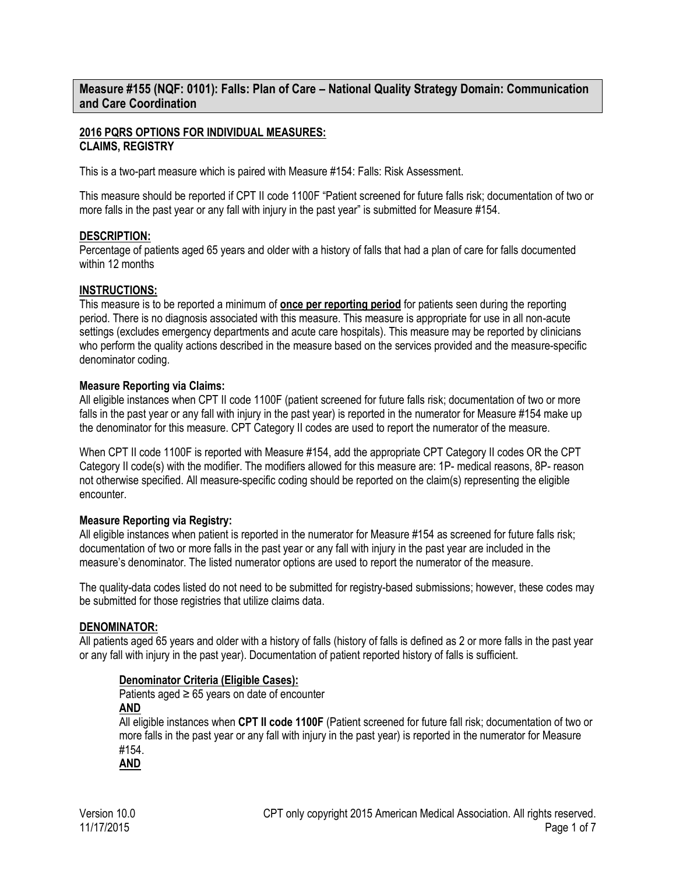**Measure #155 (NQF: 0101): Falls: Plan of Care – National Quality Strategy Domain: Communication and Care Coordination**

## **2016 PQRS OPTIONS FOR INDIVIDUAL MEASURES: CLAIMS, REGISTRY**

This is a two-part measure which is paired with Measure #154: Falls: Risk Assessment.

This measure should be reported if CPT II code 1100F "Patient screened for future falls risk; documentation of two or more falls in the past year or any fall with injury in the past year" is submitted for Measure #154.

## **DESCRIPTION:**

Percentage of patients aged 65 years and older with a history of falls that had a plan of care for falls documented within 12 months

## **INSTRUCTIONS:**

This measure is to be reported a minimum of **once per reporting period** for patients seen during the reporting period. There is no diagnosis associated with this measure. This measure is appropriate for use in all non-acute settings (excludes emergency departments and acute care hospitals). This measure may be reported by clinicians who perform the quality actions described in the measure based on the services provided and the measure-specific denominator coding.

## **Measure Reporting via Claims:**

All eligible instances when CPT II code 1100F (patient screened for future falls risk; documentation of two or more falls in the past year or any fall with injury in the past year) is reported in the numerator for Measure #154 make up the denominator for this measure. CPT Category II codes are used to report the numerator of the measure.

When CPT II code 1100F is reported with Measure #154, add the appropriate CPT Category II codes OR the CPT Category II code(s) with the modifier. The modifiers allowed for this measure are: 1P- medical reasons, 8P- reason not otherwise specified. All measure-specific coding should be reported on the claim(s) representing the eligible encounter.

## **Measure Reporting via Registry:**

All eligible instances when patient is reported in the numerator for Measure #154 as screened for future falls risk; documentation of two or more falls in the past year or any fall with injury in the past year are included in the measure's denominator. The listed numerator options are used to report the numerator of the measure.

The quality-data codes listed do not need to be submitted for registry-based submissions; however, these codes may be submitted for those registries that utilize claims data.

## **DENOMINATOR:**

All patients aged 65 years and older with a history of falls (history of falls is defined as 2 or more falls in the past year or any fall with injury in the past year). Documentation of patient reported history of falls is sufficient.

#### **Denominator Criteria (Eligible Cases):**

Patients aged  $\geq 65$  years on date of encounter **AND**

All eligible instances when **CPT II code 1100F** (Patient screened for future fall risk; documentation of two or more falls in the past year or any fall with injury in the past year) is reported in the numerator for Measure #154.

**AND**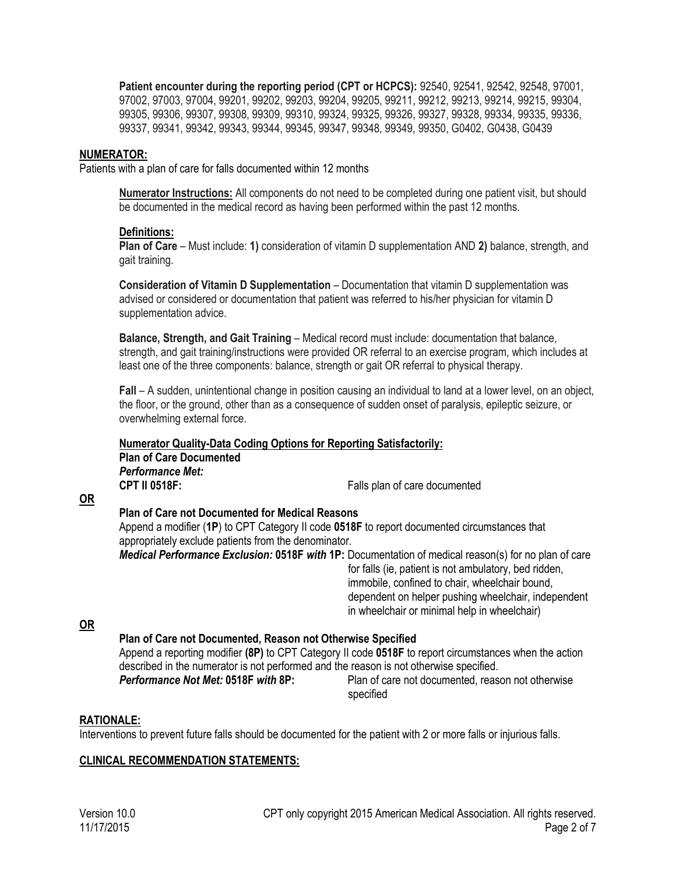**Patient encounter during the reporting period (CPT or HCPCS):** 92540, 92541, 92542, 92548, 97001, 97002, 97003, 97004, 99201, 99202, 99203, 99204, 99205, 99211, 99212, 99213, 99214, 99215, 99304, 99305, 99306, 99307, 99308, 99309, 99310, 99324, 99325, 99326, 99327, 99328, 99334, 99335, 99336, 99337, 99341, 99342, 99343, 99344, 99345, 99347, 99348, 99349, 99350, G0402, G0438, G0439

## **NUMERATOR:**

Patients with a plan of care for falls documented within 12 months

**Numerator Instructions:** All components do not need to be completed during one patient visit, but should be documented in the medical record as having been performed within the past 12 months.

## **Definitions:**

**Plan of Care** – Must include: **1)** consideration of vitamin D supplementation AND **2)** balance, strength, and gait training.

**Consideration of Vitamin D Supplementation** – Documentation that vitamin D supplementation was advised or considered or documentation that patient was referred to his/her physician for vitamin D supplementation advice.

**Balance, Strength, and Gait Training** – Medical record must include: documentation that balance, strength, and gait training/instructions were provided OR referral to an exercise program, which includes at least one of the three components: balance, strength or gait OR referral to physical therapy.

**Fall** – A sudden, unintentional change in position causing an individual to land at a lower level, on an object, the floor, or the ground, other than as a consequence of sudden onset of paralysis, epileptic seizure, or overwhelming external force.

#### **Numerator Quality-Data Coding Options for Reporting Satisfactorily: Plan of Care Documented**  *Performance Met:*  **CPT II 0518F:** Falls plan of care documented

**OR**

## **Plan of Care not Documented for Medical Reasons**

Append a modifier (**1P**) to CPT Category II code **0518F** to report documented circumstances that appropriately exclude patients from the denominator.

*Medical Performance Exclusion:* **0518F** *with* **1P:** Documentation of medical reason(s) for no plan of care for falls (ie, patient is not ambulatory, bed ridden, immobile, confined to chair, wheelchair bound, dependent on helper pushing wheelchair, independent in wheelchair or minimal help in wheelchair)

#### **OR**

## **Plan of Care not Documented, Reason not Otherwise Specified**

Append a reporting modifier **(8P)** to CPT Category II code **0518F** to report circumstances when the action described in the numerator is not performed and the reason is not otherwise specified. **Performance Not Met: 0518F** with 8P: Plan of care not documented, reason not otherwise

specified

## **RATIONALE:**

Interventions to prevent future falls should be documented for the patient with 2 or more falls or injurious falls.

## **CLINICAL RECOMMENDATION STATEMENTS:**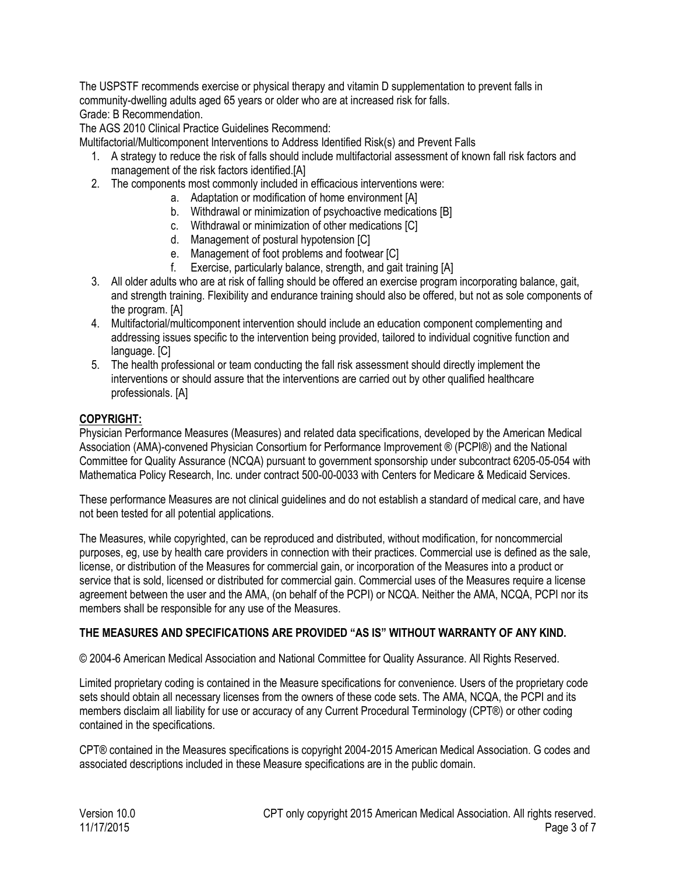The USPSTF recommends exercise or physical therapy and vitamin D supplementation to prevent falls in community-dwelling adults aged 65 years or older who are at increased risk for falls. Grade: B Recommendation.

The AGS 2010 Clinical Practice Guidelines Recommend:

Multifactorial/Multicomponent Interventions to Address Identified Risk(s) and Prevent Falls

- 1. A strategy to reduce the risk of falls should include multifactorial assessment of known fall risk factors and management of the risk factors identified.[A]
- 2. The components most commonly included in efficacious interventions were:
	- a. Adaptation or modification of home environment [A]
	- b. Withdrawal or minimization of psychoactive medications [B]
	- c. Withdrawal or minimization of other medications [C]
	- d. Management of postural hypotension [C]
	- e. Management of foot problems and footwear [C]
	- f. Exercise, particularly balance, strength, and gait training [A]
- 3. All older adults who are at risk of falling should be offered an exercise program incorporating balance, gait, and strength training. Flexibility and endurance training should also be offered, but not as sole components of the program. [A]
- 4. Multifactorial/multicomponent intervention should include an education component complementing and addressing issues specific to the intervention being provided, tailored to individual cognitive function and language. [C]
- 5. The health professional or team conducting the fall risk assessment should directly implement the interventions or should assure that the interventions are carried out by other qualified healthcare professionals. [A]

## **COPYRIGHT:**

Physician Performance Measures (Measures) and related data specifications, developed by the American Medical Association (AMA)-convened Physician Consortium for Performance Improvement ® (PCPI®) and the National Committee for Quality Assurance (NCQA) pursuant to government sponsorship under subcontract 6205-05-054 with Mathematica Policy Research, Inc. under contract 500-00-0033 with Centers for Medicare & Medicaid Services.

These performance Measures are not clinical guidelines and do not establish a standard of medical care, and have not been tested for all potential applications.

The Measures, while copyrighted, can be reproduced and distributed, without modification, for noncommercial purposes, eg, use by health care providers in connection with their practices. Commercial use is defined as the sale, license, or distribution of the Measures for commercial gain, or incorporation of the Measures into a product or service that is sold, licensed or distributed for commercial gain. Commercial uses of the Measures require a license agreement between the user and the AMA, (on behalf of the PCPI) or NCQA. Neither the AMA, NCQA, PCPI nor its members shall be responsible for any use of the Measures.

## **THE MEASURES AND SPECIFICATIONS ARE PROVIDED "AS IS" WITHOUT WARRANTY OF ANY KIND.**

© 2004-6 American Medical Association and National Committee for Quality Assurance. All Rights Reserved.

Limited proprietary coding is contained in the Measure specifications for convenience. Users of the proprietary code sets should obtain all necessary licenses from the owners of these code sets. The AMA, NCQA, the PCPI and its members disclaim all liability for use or accuracy of any Current Procedural Terminology (CPT®) or other coding contained in the specifications.

CPT® contained in the Measures specifications is copyright 2004-2015 American Medical Association. G codes and associated descriptions included in these Measure specifications are in the public domain.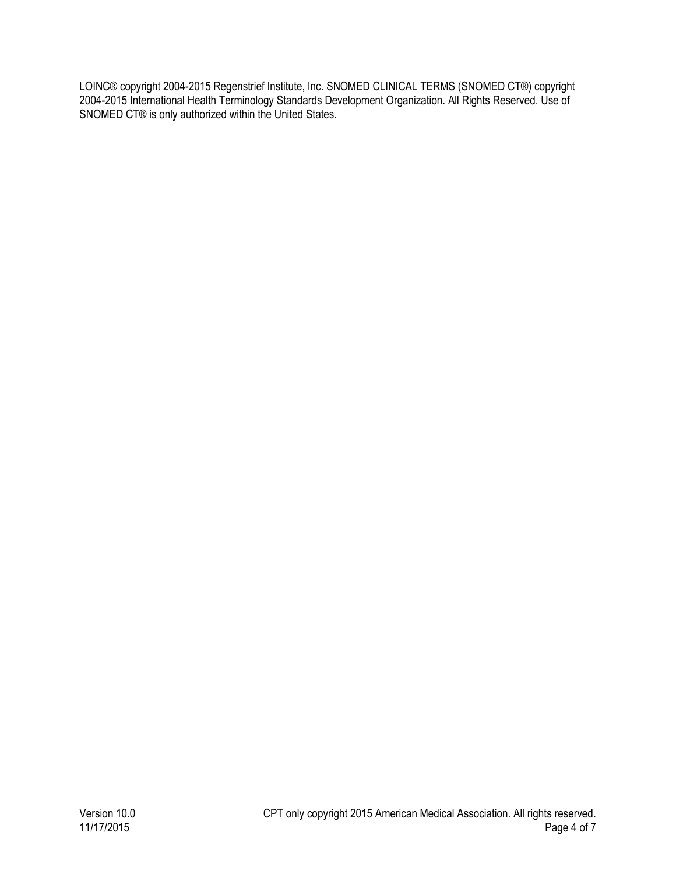LOINC® copyright 2004-2015 Regenstrief Institute, Inc. SNOMED CLINICAL TERMS (SNOMED CT®) copyright 2004-2015 International Health Terminology Standards Development Organization. All Rights Reserved. Use of SNOMED CT® is only authorized within the United States.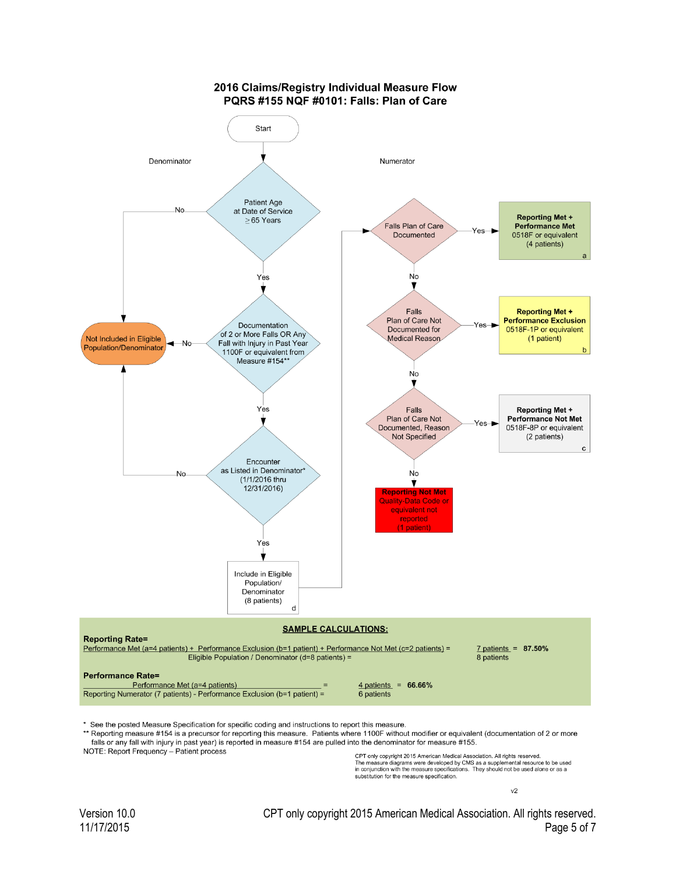

\* See the posted Measure Specification for specific coding and instructions to report this measure.

\*\* Reporting measure #154 is a precursor for reporting this measure. Patients where 1100F without modifier or equivalent (documentation of 2 or more falls or any fall with injury in past year) is reported in measure #154 are pulled into the denominator for measure #155.

NOTE: Report Frequency - Patient process

CPT only copyright 2015 American Medical Association. All rights reserved The measure diagrams were developed by CMS as a supplemental resource to be used<br>in conjunction with the measure specifications. They should not be used alone or as a substitution for the measure specification.

 $v<sub>2</sub>$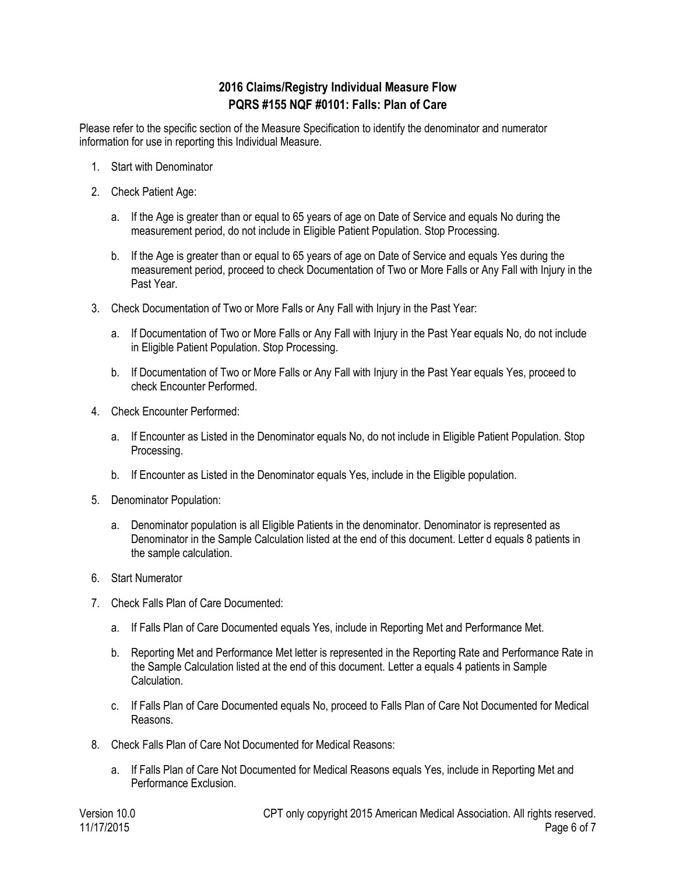# **2016 Claims/Registry Individual Measure Flow PQRS #155 NQF #0101: Falls: Plan of Care**

Please refer to the specific section of the Measure Specification to identify the denominator and numerator information for use in reporting this Individual Measure.

- 1. Start with Denominator
- 2. Check Patient Age:
	- a. If the Age is greater than or equal to 65 years of age on Date of Service and equals No during the measurement period, do not include in Eligible Patient Population. Stop Processing.
	- b. If the Age is greater than or equal to 65 years of age on Date of Service and equals Yes during the measurement period, proceed to check Documentation of Two or More Falls or Any Fall with Injury in the Past Year.
- 3. Check Documentation of Two or More Falls or Any Fall with Injury in the Past Year:
	- a. If Documentation of Two or More Falls or Any Fall with Injury in the Past Year equals No, do not include in Eligible Patient Population. Stop Processing.
	- b. If Documentation of Two or More Falls or Any Fall with Injury in the Past Year equals Yes, proceed to check Encounter Performed.
- 4. Check Encounter Performed:
	- a. If Encounter as Listed in the Denominator equals No, do not include in Eligible Patient Population. Stop Processing.
	- b. If Encounter as Listed in the Denominator equals Yes, include in the Eligible population.
- 5. Denominator Population:
	- a. Denominator population is all Eligible Patients in the denominator. Denominator is represented as Denominator in the Sample Calculation listed at the end of this document. Letter d equals 8 patients in the sample calculation.
- 6. Start Numerator
- 7. Check Falls Plan of Care Documented:
	- a. If Falls Plan of Care Documented equals Yes, include in Reporting Met and Performance Met.
	- b. Reporting Met and Performance Met letter is represented in the Reporting Rate and Performance Rate in the Sample Calculation listed at the end of this document. Letter a equals 4 patients in Sample Calculation.
	- c. If Falls Plan of Care Documented equals No, proceed to Falls Plan of Care Not Documented for Medical Reasons.
- 8. Check Falls Plan of Care Not Documented for Medical Reasons:
	- a. If Falls Plan of Care Not Documented for Medical Reasons equals Yes, include in Reporting Met and Performance Exclusion.